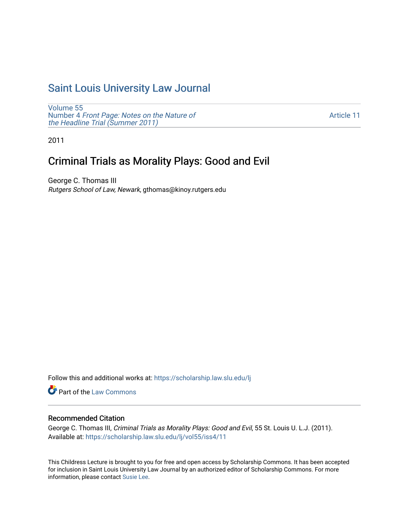# [Saint Louis University Law Journal](https://scholarship.law.slu.edu/lj)

[Volume 55](https://scholarship.law.slu.edu/lj/vol55) Number 4 [Front Page: Notes on the Nature of](https://scholarship.law.slu.edu/lj/vol55/iss4) [the Headline Trial \(Summer 2011\)](https://scholarship.law.slu.edu/lj/vol55/iss4)

[Article 11](https://scholarship.law.slu.edu/lj/vol55/iss4/11) 

2011

## Criminal Trials as Morality Plays: Good and Evil

George C. Thomas III Rutgers School of Law, Newark, gthomas@kinoy.rutgers.edu

Follow this and additional works at: [https://scholarship.law.slu.edu/lj](https://scholarship.law.slu.edu/lj?utm_source=scholarship.law.slu.edu%2Flj%2Fvol55%2Fiss4%2F11&utm_medium=PDF&utm_campaign=PDFCoverPages) 

Part of the [Law Commons](http://network.bepress.com/hgg/discipline/578?utm_source=scholarship.law.slu.edu%2Flj%2Fvol55%2Fiss4%2F11&utm_medium=PDF&utm_campaign=PDFCoverPages)

## Recommended Citation

George C. Thomas III, Criminal Trials as Morality Plays: Good and Evil, 55 St. Louis U. L.J. (2011). Available at: [https://scholarship.law.slu.edu/lj/vol55/iss4/11](https://scholarship.law.slu.edu/lj/vol55/iss4/11?utm_source=scholarship.law.slu.edu%2Flj%2Fvol55%2Fiss4%2F11&utm_medium=PDF&utm_campaign=PDFCoverPages)

This Childress Lecture is brought to you for free and open access by Scholarship Commons. It has been accepted for inclusion in Saint Louis University Law Journal by an authorized editor of Scholarship Commons. For more information, please contact [Susie Lee](mailto:susie.lee@slu.edu).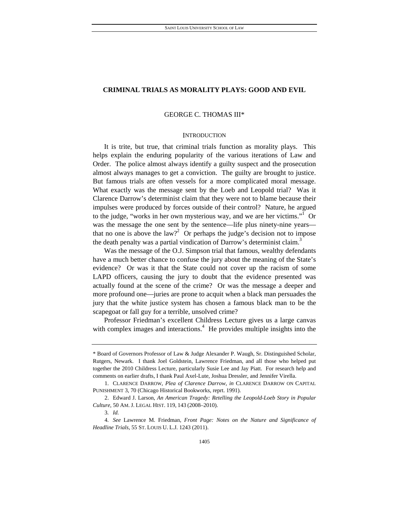## **CRIMINAL TRIALS AS MORALITY PLAYS: GOOD AND EVIL**

## GEORGE C. THOMAS III\*

### **INTRODUCTION**

It is trite, but true, that criminal trials function as morality plays. This helps explain the enduring popularity of the various iterations of Law and Order. The police almost always identify a guilty suspect and the prosecution almost always manages to get a conviction. The guilty are brought to justice. But famous trials are often vessels for a more complicated moral message. What exactly was the message sent by the Loeb and Leopold trial? Was it Clarence Darrow's determinist claim that they were not to blame because their impulses were produced by forces outside of their control? Nature, he argued to the judge, "works in her own mysterious way, and we are her victims."<sup>1</sup> Or was the message the one sent by the sentence—life plus ninety-nine years that no one is above the law?<sup>2</sup> Or perhaps the judge's decision not to impose the death penalty was a partial vindication of Darrow's determinist claim.<sup>3</sup>

Was the message of the O.J. Simpson trial that famous, wealthy defendants have a much better chance to confuse the jury about the meaning of the State's evidence? Or was it that the State could not cover up the racism of some LAPD officers, causing the jury to doubt that the evidence presented was actually found at the scene of the crime? Or was the message a deeper and more profound one—juries are prone to acquit when a black man persuades the jury that the white justice system has chosen a famous black man to be the scapegoat or fall guy for a terrible, unsolved crime?

Professor Friedman's excellent Childress Lecture gives us a large canvas with complex images and interactions.<sup>4</sup> He provides multiple insights into the

<sup>\*</sup> Board of Governors Professor of Law & Judge Alexander P. Waugh, Sr. Distinguished Scholar, Rutgers, Newark. I thank Joel Goldstein, Lawrence Friedman, and all those who helped put together the 2010 Childress Lecture, particularly Susie Lee and Jay Piatt. For research help and comments on earlier drafts, I thank Paul Axel-Lute, Joshua Dressler, and Jennifer Virella.

 <sup>1.</sup> CLARENCE DARROW, *Plea of Clarence Darrow*, *in* CLARENCE DARROW ON CAPITAL PUNISHMENT 3, 70 (Chicago Historical Bookworks, reprt. 1991).

 <sup>2.</sup> Edward J. Larson, *An American Tragedy: Retelling the Leopold-Loeb Story in Popular Culture*, 50 AM. J. LEGAL HIST. 119, 143 (2008–2010).

<sup>3</sup>*. Id.*

<sup>4</sup>*. See* Lawrence M. Friedman, *Front Page: Notes on the Nature and Significance of Headline Trials*, 55 ST. LOUIS U. L.J. 1243 (2011).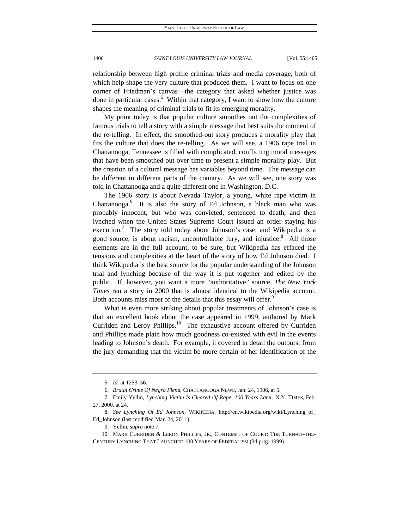relationship between high profile criminal trials and media coverage, both of which help shape the very culture that produced them. I want to focus on one corner of Friedman's canvas—the category that asked whether justice was done in particular cases.<sup>5</sup> Within that category, I want to show how the culture shapes the meaning of criminal trials to fit its emerging morality.

My point today is that popular culture smoothes out the complexities of famous trials to tell a story with a simple message that best suits the moment of the re-telling. In effect, the smoothed-out story produces a morality play that fits the culture that does the re-telling. As we will see, a 1906 rape trial in Chattanooga, Tennessee is filled with complicated, conflicting moral messages that have been smoothed out over time to present a simple morality play. But the creation of a cultural message has variables beyond time. The message can be different in different parts of the country. As we will see, one story was told in Chattanooga and a quite different one in Washington, D.C.

The 1906 story is about Nevada Taylor, a young, white rape victim in Chattanooga.<sup>6</sup> It is also the story of Ed Johnson, a black man who was probably innocent, but who was convicted, sentenced to death, and then lynched when the United States Supreme Court issued an order staying his execution.<sup>7</sup> The story told today about Johnson's case, and Wikipedia is a good source, is about racism, uncontrollable fury, and injustice.<sup>8</sup> All those elements are in the full account, to be sure, but Wikipedia has effaced the tensions and complexities at the heart of the story of how Ed Johnson died. I think Wikipedia is the best source for the popular understanding of the Johnson trial and lynching because of the way it is put together and edited by the public. If, however, you want a more "authoritative" source, *The New York Times* ran a story in 2000 that is almost identical to the Wikipedia account. Both accounts miss most of the details that this essay will offer.<sup>9</sup>

What is even more striking about popular treatments of Johnson's case is that an excellent book about the case appeared in 1999, authored by Mark Curriden and Leroy Phillips.<sup>10</sup> The exhaustive account offered by Curriden and Phillips made plain how much goodness co-existed with evil in the events leading to Johnson's death. For example, it covered in detail the outburst from the jury demanding that the victim be more certain of her identification of the

<sup>5</sup>*. Id.* at 1253–56.

<sup>6</sup>*. Brutal Crime Of Negro Fiend*, CHATTANOOGA NEWS, Jan. 24, 1906, at 5.

 <sup>7.</sup> Emily Yellin, *Lynching Victim Is Cleared Of Rape, 100 Years Later*, N.Y. TIMES, Feb. 27, 2000, at 24.

<sup>8</sup>*. See Lynching Of Ed Johnson*, WIKIPEDIA, http://en.wikipedia.org/wiki/Lynching\_of\_ Ed\_Johnson (last modified Mar. 24, 2011).

 <sup>9.</sup> Yellin, *supra* note 7.

 <sup>10.</sup> MARK CURRIDEN & LEROY PHILLIPS, JR., CONTEMPT OF COURT: THE TURN-OF-THE-CENTURY LYNCHING THAT LAUNCHED 100 YEARS OF FEDERALISM (3d prtg. 1999).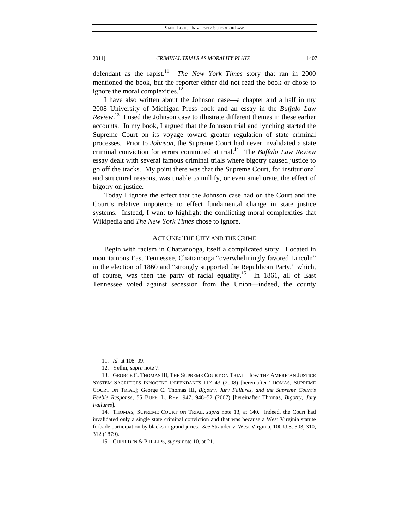defendant as the rapist.<sup>11</sup> *The New York Times* story that ran in 2000 mentioned the book, but the reporter either did not read the book or chose to ignore the moral complexities.<sup>12</sup>

I have also written about the Johnson case—a chapter and a half in my 2008 University of Michigan Press book and an essay in the *Buffalo Law Review*. 13 I used the Johnson case to illustrate different themes in these earlier accounts. In my book, I argued that the Johnson trial and lynching started the Supreme Court on its voyage toward greater regulation of state criminal processes. Prior to *Johnson*, the Supreme Court had never invalidated a state criminal conviction for errors committed at trial.14 The *Buffalo Law Review* essay dealt with several famous criminal trials where bigotry caused justice to go off the tracks. My point there was that the Supreme Court, for institutional and structural reasons, was unable to nullify, or even ameliorate, the effect of bigotry on justice.

Today I ignore the effect that the Johnson case had on the Court and the Court's relative impotence to effect fundamental change in state justice systems. Instead, I want to highlight the conflicting moral complexities that Wikipedia and *The New York Times* chose to ignore.

## ACT ONE: THE CITY AND THE CRIME

Begin with racism in Chattanooga, itself a complicated story. Located in mountainous East Tennessee, Chattanooga "overwhelmingly favored Lincoln" in the election of 1860 and "strongly supported the Republican Party," which, of course, was then the party of racial equality.<sup>15</sup> In 1861, all of East Tennessee voted against secession from the Union—indeed, the county

<sup>11</sup>*. Id.* at 108–09.

 <sup>12.</sup> Yellin, *supra* note 7.

 <sup>13.</sup> GEORGE C. THOMAS III, THE SUPREME COURT ON TRIAL: HOW THE AMERICAN JUSTICE SYSTEM SACRIFICES INNOCENT DEFENDANTS 117–43 (2008) [hereinafter THOMAS, SUPREME COURT ON TRIAL]; George C. Thomas III, *Bigotry, Jury Failures, and the Supreme Court's Feeble Response*, 55 BUFF. L. REV. 947, 948–52 (2007) [hereinafter Thomas, *Bigotry, Jury Failures*].

 <sup>14.</sup> THOMAS, SUPREME COURT ON TRIAL, *supra* note 13, at 140. Indeed, the Court had invalidated only a single state criminal conviction and that was because a West Virginia statute forbade participation by blacks in grand juries. *See* Strauder v. West Virginia, 100 U.S. 303, 310, 312 (1879).

 <sup>15.</sup> CURRIDEN & PHILLIPS, *supra* note 10, at 21.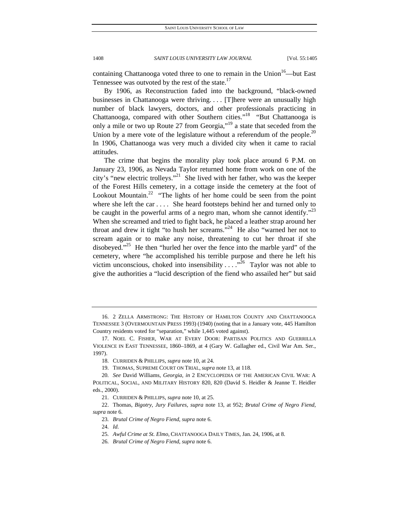containing Chattanooga voted three to one to remain in the Union<sup>16</sup>—but East Tennessee was outvoted by the rest of the state.<sup>17</sup>

By 1906, as Reconstruction faded into the background, "black-owned businesses in Chattanooga were thriving. . . . [T]here were an unusually high number of black lawyers, doctors, and other professionals practicing in Chattanooga, compared with other Southern cities."18 "But Chattanooga is only a mile or two up Route 27 from Georgia,"19 a state that seceded from the Union by a mere vote of the legislature without a referendum of the people.<sup>20</sup> In 1906, Chattanooga was very much a divided city when it came to racial attitudes.

The crime that begins the morality play took place around 6 P.M. on January 23, 1906, as Nevada Taylor returned home from work on one of the city's "new electric trolleys."<sup>21</sup> She lived with her father, who was the keeper of the Forest Hills cemetery, in a cottage inside the cemetery at the foot of Lookout Mountain.<sup>22</sup> "The lights of her home could be seen from the point where she left the car . . . . She heard footsteps behind her and turned only to be caught in the powerful arms of a negro man, whom she cannot identify."<sup>23</sup> When she screamed and tried to fight back, he placed a leather strap around her throat and drew it tight "to hush her screams."<sup>24</sup> He also "warned her not to scream again or to make any noise, threatening to cut her throat if she disobeyed."<sup>25</sup> He then "hurled her over the fence into the marble yard" of the cemetery, where "he accomplished his terrible purpose and there he left his victim unconscious, choked into insensibility  $\dots$  ...<sup>26</sup> Taylor was not able to give the authorities a "lucid description of the fiend who assailed her" but said

 <sup>16. 2</sup> ZELLA ARMSTRONG: THE HISTORY OF HAMILTON COUNTY AND CHATTANOOGA TENNESSEE 3 (OVERMOUNTAIN PRESS 1993) (1940) (noting that in a January vote, 445 Hamilton Country residents voted for "separation," while 1,445 voted against).

 <sup>17.</sup> NOEL C. FISHER, WAR AT EVERY DOOR: PARTISAN POLITICS AND GUERRILLA VIOLENCE IN EAST TENNESSEE, 1860–1869, at 4 (Gary W. Gallagher ed., Civil War Am. Ser., 1997).

 <sup>18.</sup> CURRIDEN & PHILLIPS, *supra* note 10, at 24.

 <sup>19.</sup> THOMAS, SUPREME COURT ON TRIAL, *supra* note 13, at 118.

<sup>20</sup>*. See* David Williams, *Georgia*, *in* 2 ENCYCLOPEDIA OF THE AMERICAN CIVIL WAR: A POLITICAL, SOCIAL, AND MILITARY HISTORY 820, 820 (David S. Heidler & Jeanne T. Heidler eds., 2000).

 <sup>21.</sup> CURRIDEN & PHILLIPS, *supra* note 10, at 25.

 <sup>22.</sup> Thomas, *Bigotry, Jury Failures*, *supra* note 13, at 952; *Brutal Crime of Negro Fiend*, *supra* note 6.

<sup>23</sup>*. Brutal Crime of Negro Fiend*, *supra* note 6.

<sup>24</sup>*. Id.*

<sup>25</sup>*. Awful Crime at St. Elmo*, CHATTANOOGA DAILY TIMES, Jan. 24, 1906, at 8.

<sup>26</sup>*. Brutal Crime of Negro Fiend*, *supra* note 6.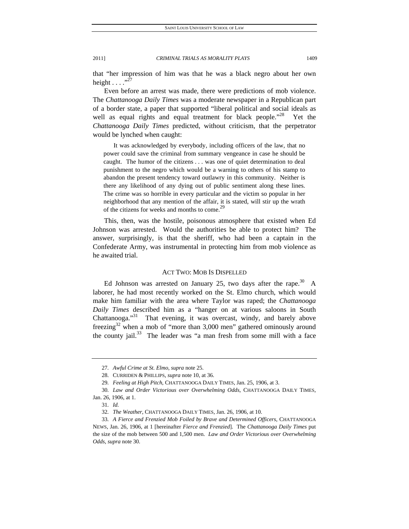that "her impression of him was that he was a black negro about her own height  $\ldots$  .  $^{37}$ 

Even before an arrest was made, there were predictions of mob violence. The *Chattanooga Daily Times* was a moderate newspaper in a Republican part of a border state, a paper that supported "liberal political and social ideals as well as equal rights and equal treatment for black people."<sup>28</sup> Yet the *Chattanooga Daily Times* predicted, without criticism, that the perpetrator would be lynched when caught:

 It was acknowledged by everybody, including officers of the law, that no power could save the criminal from summary vengeance in case he should be caught. The humor of the citizens . . . was one of quiet determination to deal punishment to the negro which would be a warning to others of his stamp to abandon the present tendency toward outlawry in this community. Neither is there any likelihood of any dying out of public sentiment along these lines. The crime was so horrible in every particular and the victim so popular in her neighborhood that any mention of the affair, it is stated, will stir up the wrath of the citizens for weeks and months to come.<sup>2</sup>

This, then, was the hostile, poisonous atmosphere that existed when Ed Johnson was arrested. Would the authorities be able to protect him? The answer, surprisingly, is that the sheriff, who had been a captain in the Confederate Army, was instrumental in protecting him from mob violence as he awaited trial.

## ACT TWO: MOB IS DISPELLED

Ed Johnson was arrested on January 25, two days after the rape.<sup>30</sup> A laborer, he had most recently worked on the St. Elmo church, which would make him familiar with the area where Taylor was raped; the *Chattanooga Daily Times* described him as a "hanger on at various saloons in South Chattanooga."<sup>31</sup> That evening, it was overcast, windy, and barely above freezing<sup>32</sup> when a mob of "more than 3,000 men" gathered ominously around the county jail.<sup>33</sup> The leader was "a man fresh from some mill with a face

<sup>27</sup>*. Awful Crime at St. Elmo*, *supra* note 25.

 <sup>28.</sup> CURRIDEN & PHILLIPS, *supra* note 10, at 36.

<sup>29</sup>*. Feeling at High Pitch*, CHATTANOOGA DAILY TIMES, Jan. 25, 1906, at 3.

<sup>30</sup>*. Law and Order Victorious over Overwhelming Odds*, CHATTANOOGA DAILY TIMES, Jan. 26, 1906, at 1.

<sup>31</sup>*. Id.*

<sup>32</sup>*. The Weather*, CHATTANOOGA DAILY TIMES, Jan. 26, 1906, at 10.

<sup>33</sup>*. A Fierce and Frenzied Mob Foiled by Brave and Determined Officers*, CHATTANOOGA NEWS, Jan. 26, 1906, at 1 [hereinafter *Fierce and Frenzied*]. The *Chattanooga Daily Times* put the size of the mob between 500 and 1,500 men. *Law and Order Victorious over Overwhelming Odds*, *supra* note 30.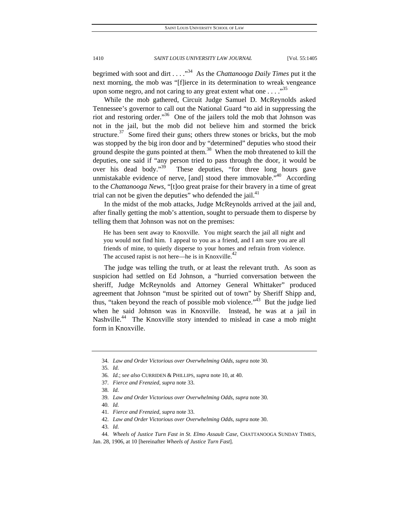begrimed with soot and dirt . . . ."34 As the *Chattanooga Daily Times* put it the next morning, the mob was "[f]ierce in its determination to wreak vengeance upon some negro, and not caring to any great extent what one  $\dots$  ...<sup>35</sup>

While the mob gathered, Circuit Judge Samuel D. McReynolds asked Tennessee's governor to call out the National Guard "to aid in suppressing the riot and restoring order."<sup>36</sup> One of the jailers told the mob that Johnson was not in the jail, but the mob did not believe him and stormed the brick structure. $37$  Some fired their guns; others threw stones or bricks, but the mob was stopped by the big iron door and by "determined" deputies who stood their ground despite the guns pointed at them.<sup>38</sup> When the mob threatened to kill the deputies, one said if "any person tried to pass through the door, it would be over his dead body."<sup>39</sup> These deputies, "for three long hours gave unmistakable evidence of nerve, [and] stood there immovable. $140$  According to the *Chattanooga News*, "[t]oo great praise for their bravery in a time of great trial can not be given the deputies" who defended the jail. $41$ 

In the midst of the mob attacks, Judge McReynolds arrived at the jail and, after finally getting the mob's attention, sought to persuade them to disperse by telling them that Johnson was not on the premises:

He has been sent away to Knoxville. You might search the jail all night and you would not find him. I appeal to you as a friend, and I am sure you are all friends of mine, to quietly disperse to your homes and refrain from violence. The accused rapist is not here—he is in Knoxville. $^{42}$ 

The judge was telling the truth, or at least the relevant truth. As soon as suspicion had settled on Ed Johnson, a "hurried conversation between the sheriff, Judge McReynolds and Attorney General Whittaker" produced agreement that Johnson "must be spirited out of town" by Sheriff Shipp and, thus, "taken beyond the reach of possible mob violence." $\frac{3}{43}$  But the judge lied when he said Johnson was in Knoxville. Instead, he was at a jail in Nashville.<sup>44</sup> The Knoxville story intended to mislead in case a mob might form in Knoxville.

35*. Id.*

<sup>34</sup>*. Law and Order Victorious over Overwhelming Odds*, *supra* note 30.

<sup>36</sup>*. Id.*; *see also* CURRIDEN & PHILLIPS, *supra* note 10, at 40.

<sup>37</sup>*. Fierce and Frenzied*, *supra* note 33.

<sup>38</sup>*. Id.*

<sup>39</sup>*. Law and Order Victorious over Overwhelming Odds*, *supra* note 30.

<sup>40</sup>*. Id.*

<sup>41</sup>*. Fierce and Frenzied*, *supra* note 33.

<sup>42</sup>*. Law and Order Victorious over Overwhelming Odds*, *supra* note 30.

<sup>44</sup>*. Wheels of Justice Turn Fast in St. Elmo Assault Case*, CHATTANOOGA SUNDAY TIMES,

Jan. 28, 1906, at 10 [hereinafter *Wheels of Justice Turn Fast*].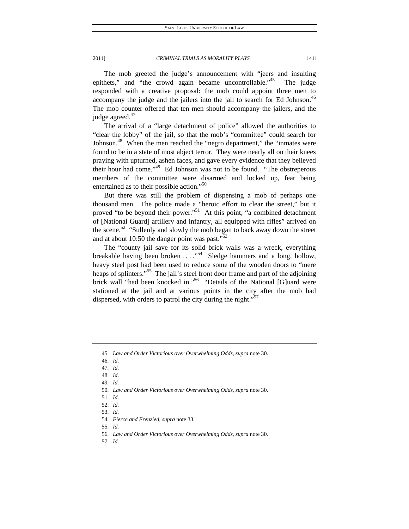The mob greeted the judge's announcement with "jeers and insulting epithets," and "the crowd again became uncontrollable."<sup>45</sup> The judge responded with a creative proposal: the mob could appoint three men to accompany the judge and the jailers into the jail to search for Ed Johnson.<sup>46</sup> The mob counter-offered that ten men should accompany the jailers, and the judge agreed.<sup>47</sup>

The arrival of a "large detachment of police" allowed the authorities to "clear the lobby" of the jail, so that the mob's "committee" could search for Johnson.<sup>48</sup> When the men reached the "negro department," the "inmates were found to be in a state of most abject terror. They were nearly all on their knees praying with upturned, ashen faces, and gave every evidence that they believed their hour had come."49 Ed Johnson was not to be found. "The obstreperous members of the committee were disarmed and locked up, fear being entertained as to their possible action."<sup>50</sup>

But there was still the problem of dispensing a mob of perhaps one thousand men. The police made a "heroic effort to clear the street," but it proved "to be beyond their power."<sup>51</sup> At this point, "a combined detachment of [National Guard] artillery and infantry, all equipped with rifles" arrived on the scene.<sup>52</sup> "Sullenly and slowly the mob began to back away down the street and at about 10:50 the danger point was past."<sup>53</sup>

The "county jail save for its solid brick walls was a wreck, everything breakable having been broken . . . ."54 Sledge hammers and a long, hollow, heavy steel post had been used to reduce some of the wooden doors to "mere heaps of splinters."<sup>55</sup> The jail's steel front door frame and part of the adjoining brick wall "had been knocked in."<sup>56</sup> "Details of the National [G]uard were stationed at the jail and at various points in the city after the mob had dispersed, with orders to patrol the city during the night."<sup>57</sup>

- 
- 50*. Law and Order Victorious over Overwhelming Odds*, *supra* note 30.

55*. Id.*

<sup>45</sup>*. Law and Order Victorious over Overwhelming Odds*, *supra* note 30.

<sup>46</sup>*. Id.*

<sup>47</sup>*. Id.*

<sup>48</sup>*. Id.* 49*. Id.*

<sup>51</sup>*. Id.*

<sup>52</sup>*. Id.*

<sup>53</sup>*. Id.*

<sup>54</sup>*. Fierce and Frenzied*, *supra* note 33.

<sup>56</sup>*. Law and Order Victorious over Overwhelming Odds*, *supra* note 30.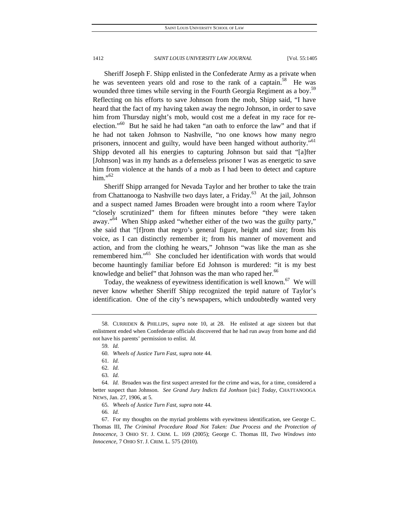Sheriff Joseph F. Shipp enlisted in the Confederate Army as a private when he was seventeen years old and rose to the rank of a captain.<sup>58</sup> He was wounded three times while serving in the Fourth Georgia Regiment as a boy.<sup>59</sup> Reflecting on his efforts to save Johnson from the mob, Shipp said, "I have heard that the fact of my having taken away the negro Johnson, in order to save him from Thursday night's mob, would cost me a defeat in my race for reelection."<sup>60</sup> But he said he had taken "an oath to enforce the law" and that if he had not taken Johnson to Nashville, "no one knows how many negro prisoners, innocent and guilty, would have been hanged without authority."<sup>61</sup> Shipp devoted all his energies to capturing Johnson but said that "[a]fter [Johnson] was in my hands as a defenseless prisoner I was as energetic to save him from violence at the hands of a mob as I had been to detect and capture him." $62$ 

Sheriff Shipp arranged for Nevada Taylor and her brother to take the train from Chattanooga to Nashville two days later, a Friday.<sup>63</sup> At the jail, Johnson and a suspect named James Broaden were brought into a room where Taylor "closely scrutinized" them for fifteen minutes before "they were taken away."<sup>64</sup> When Shipp asked "whether either of the two was the guilty party," she said that "[f]rom that negro's general figure, height and size; from his voice, as I can distinctly remember it; from his manner of movement and action, and from the clothing he wears," Johnson "was like the man as she remembered him."<sup>65</sup> She concluded her identification with words that would become hauntingly familiar before Ed Johnson is murdered: "it is my best knowledge and belief" that Johnson was the man who raped her.<sup>66</sup>

Today, the weakness of eyewitness identification is well known.<sup>67</sup> We will never know whether Sheriff Shipp recognized the tepid nature of Taylor's identification. One of the city's newspapers, which undoubtedly wanted very

62*. Id.*

66*. Id.*

 67. For my thoughts on the myriad problems with eyewitness identification, see George C. Thomas III, *The Criminal Procedure Road Not Taken: Due Process and the Protection of Innocence*, 3 OHIO ST. J. CRIM. L. 169 (2005); George C. Thomas III, *Two Windows into Innocence*, 7 OHIO ST. J. CRIM. L. 575 (2010).

 <sup>58.</sup> CURRIDEN & PHILLIPS, *supra* note 10, at 28. He enlisted at age sixteen but that enlistment ended when Confederate officials discovered that he had run away from home and did not have his parents' permission to enlist. *Id.*

<sup>59</sup>*. Id.*

<sup>60</sup>*. Wheels of Justice Turn Fast*, *supra* note 44.

<sup>61</sup>*. Id.*

<sup>63</sup>*. Id.*

<sup>64</sup>*. Id.* Broaden was the first suspect arrested for the crime and was, for a time, considered a better suspect than Johnson. *See Grand Jury Indicts Ed Jonhson* [sic] *Today*, CHATTANOOGA NEWS, Jan. 27, 1906, at 5.

<sup>65</sup>*. Wheels of Justice Turn Fast*, *supra* note 44.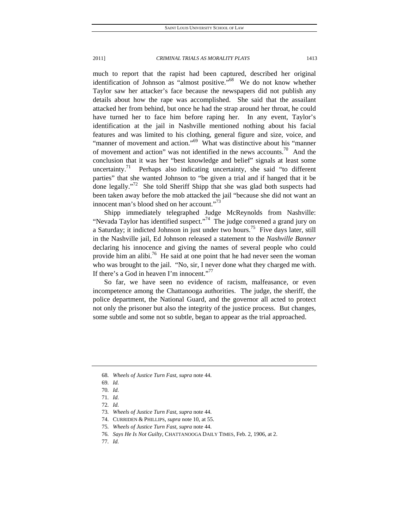much to report that the rapist had been captured, described her original identification of Johnson as "almost positive."<sup>68</sup> We do not know whether Taylor saw her attacker's face because the newspapers did not publish any details about how the rape was accomplished. She said that the assailant attacked her from behind, but once he had the strap around her throat, he could have turned her to face him before raping her. In any event, Taylor's identification at the jail in Nashville mentioned nothing about his facial features and was limited to his clothing, general figure and size, voice, and "manner of movement and action."<sup>69</sup> What was distinctive about his "manner" of movement and action" was not identified in the news accounts.70 And the conclusion that it was her "best knowledge and belief" signals at least some uncertainty.<sup>71</sup> Perhaps also indicating uncertainty, she said "to different parties" that she wanted Johnson to "be given a trial and if hanged that it be done legally."<sup>72</sup> She told Sheriff Shipp that she was glad both suspects had been taken away before the mob attacked the jail "because she did not want an innocent man's blood shed on her account."<sup>73</sup>

Shipp immediately telegraphed Judge McReynolds from Nashville: "Nevada Taylor has identified suspect."<sup>74</sup> The judge convened a grand jury on a Saturday; it indicted Johnson in just under two hours.<sup>75</sup> Five days later, still in the Nashville jail, Ed Johnson released a statement to the *Nashville Banner*  declaring his innocence and giving the names of several people who could provide him an alibi.<sup>76</sup> He said at one point that he had never seen the woman who was brought to the jail. "No, sir, I never done what they charged me with. If there's a God in heaven I'm innocent." $1$ 

So far, we have seen no evidence of racism, malfeasance, or even incompetence among the Chattanooga authorities. The judge, the sheriff, the police department, the National Guard, and the governor all acted to protect not only the prisoner but also the integrity of the justice process. But changes, some subtle and some not so subtle, began to appear as the trial approached.

<sup>68</sup>*. Wheels of Justice Turn Fast*, *supra* note 44.

<sup>69</sup>*. Id.*

<sup>70</sup>*. Id.*

<sup>71</sup>*. Id.*

<sup>72</sup>*. Id.*

<sup>73</sup>*. Wheels of Justice Turn Fast*, *supra* note 44.

 <sup>74.</sup> CURRIDEN & PHILLIPS, *supra* note 10, at 55.

<sup>75</sup>*. Wheels of Justice Turn Fast*, *supra* note 44.

<sup>76</sup>*. Says He Is Not Guilty*, CHATTANOOGA DAILY TIMES, Feb. 2, 1906, at 2.

<sup>77</sup>*. Id.*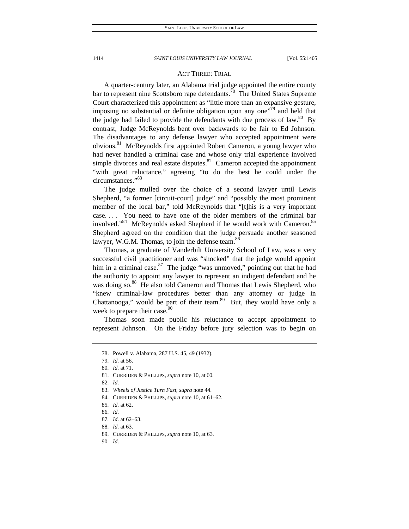## ACT THREE: TRIAL

A quarter-century later, an Alabama trial judge appointed the entire county bar to represent nine Scottsboro rape defendants.<sup>78</sup> The United States Supreme Court characterized this appointment as "little more than an expansive gesture, imposing no substantial or definite obligation upon any one<sup> $79$ </sup> and held that the judge had failed to provide the defendants with due process of law.<sup>80</sup> By contrast, Judge McReynolds bent over backwards to be fair to Ed Johnson. The disadvantages to any defense lawyer who accepted appointment were obvious.81 McReynolds first appointed Robert Cameron, a young lawyer who had never handled a criminal case and whose only trial experience involved simple divorces and real estate disputes. $82$  Cameron accepted the appointment "with great reluctance," agreeing "to do the best he could under the circumstances."83

The judge mulled over the choice of a second lawyer until Lewis Shepherd, "a former [circuit-court] judge" and "possibly the most prominent member of the local bar," told McReynolds that "[t]his is a very important case. . . . You need to have one of the older members of the criminal bar involved."<sup>84</sup> McReynolds asked Shepherd if he would work with Cameron.<sup>85</sup> Shepherd agreed on the condition that the judge persuade another seasoned lawyer, W.G.M. Thomas, to join the defense team.<sup>86</sup>

Thomas, a graduate of Vanderbilt University School of Law, was a very successful civil practitioner and was "shocked" that the judge would appoint him in a criminal case.<sup>87</sup> The judge "was unmoved," pointing out that he had the authority to appoint any lawyer to represent an indigent defendant and he was doing so.<sup>88</sup> He also told Cameron and Thomas that Lewis Shepherd, who "knew criminal-law procedures better than any attorney or judge in Chattanooga," would be part of their team.<sup>89</sup> But, they would have only a week to prepare their case.  $90^\circ$ 

Thomas soon made public his reluctance to accept appointment to represent Johnson. On the Friday before jury selection was to begin on

- 84. CURRIDEN & PHILLIPS, *supra* note 10, at 61–62.
- 85*. Id.* at 62.
- 86*. Id.*
- 87*. Id.* at 62–63.
- 88*. Id.* at 63.
- 89. CURRIDEN & PHILLIPS, *supra* note 10, at 63.
- 90*. Id.*

 <sup>78.</sup> Powell v. Alabama, 287 U.S. 45, 49 (1932).

<sup>79</sup>*. Id.* at 56.

<sup>80</sup>*. Id.* at 71.

 <sup>81.</sup> CURRIDEN & PHILLIPS, *supra* note 10, at 60.

<sup>82</sup>*. Id.*

<sup>83</sup>*. Wheels of Justice Turn Fast*, *supra* note 44.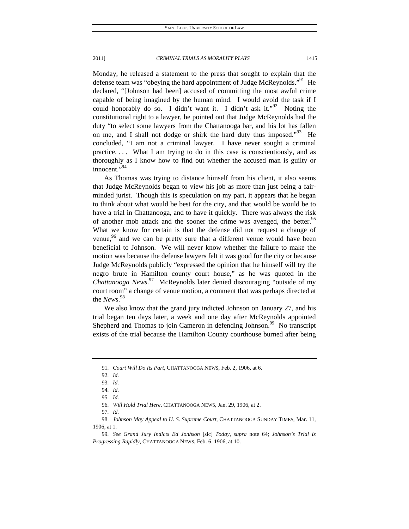Monday, he released a statement to the press that sought to explain that the defense team was "obeying the hard appointment of Judge McReynolds."<sup>91</sup> He declared, "[Johnson had been] accused of committing the most awful crime capable of being imagined by the human mind. I would avoid the task if I could honorably do so. I didn't want it. I didn't ask it."<sup>92</sup> Noting the constitutional right to a lawyer, he pointed out that Judge McReynolds had the duty "to select some lawyers from the Chattanooga bar, and his lot has fallen on me, and I shall not dodge or shirk the hard duty thus imposed."<sup>93</sup> He concluded, "I am not a criminal lawyer. I have never sought a criminal

practice. . . . What I am trying to do in this case is conscientiously, and as thoroughly as I know how to find out whether the accused man is guilty or innocent."94

As Thomas was trying to distance himself from his client, it also seems that Judge McReynolds began to view his job as more than just being a fairminded jurist. Though this is speculation on my part, it appears that he began to think about what would be best for the city, and that would be would be to have a trial in Chattanooga, and to have it quickly. There was always the risk of another mob attack and the sooner the crime was avenged, the better.<sup>95</sup> What we know for certain is that the defense did not request a change of venue, 96 and we can be pretty sure that a different venue would have been beneficial to Johnson. We will never know whether the failure to make the motion was because the defense lawyers felt it was good for the city or because Judge McReynolds publicly "expressed the opinion that he himself will try the negro brute in Hamilton county court house," as he was quoted in the *Chattanooga News*. 97 McReynolds later denied discouraging "outside of my court room" a change of venue motion, a comment that was perhaps directed at the *News*. 98

We also know that the grand jury indicted Johnson on January 27, and his trial began ten days later, a week and one day after McReynolds appointed Shepherd and Thomas to join Cameron in defending Johnson.<sup>99</sup> No transcript exists of the trial because the Hamilton County courthouse burned after being

96*. Will Hold Trial Here*, CHATTANOOGA NEWS, Jan. 29, 1906, at 2.

97*. Id.*

98*. Johnson May Appeal to U. S. Supreme Court*, CHATTANOOGA SUNDAY TIMES, Mar. 11, 1906, at 1.

<sup>91</sup>*. Court Will Do Its Part*, CHATTANOOGA NEWS, Feb. 2, 1906, at 6.

<sup>92</sup>*. Id.*

<sup>93</sup>*. Id.*

<sup>94</sup>*. Id.*

<sup>95</sup>*. Id.*

<sup>99</sup>*. See Grand Jury Indicts Ed Jonhson* [sic] *Today*, *supra* note 64; *Johnson's Trial Is Progressing Rapidly*, CHATTANOOGA NEWS, Feb. 6, 1906, at 10.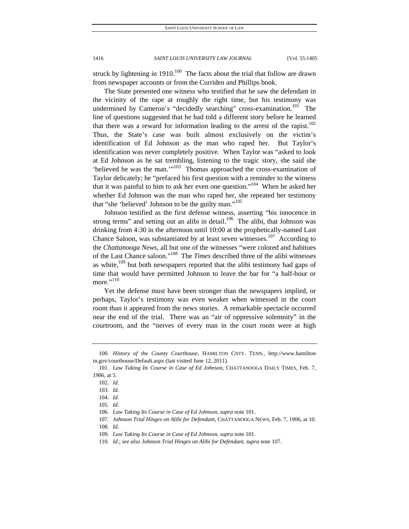struck by lightening in 1910.<sup>100</sup> The facts about the trial that follow are drawn from newspaper accounts or from the Curriden and Phillips book.

The State presented one witness who testified that he saw the defendant in the vicinity of the rape at roughly the right time, but his testimony was undermined by Cameron's "decidedly searching" cross-examination.<sup>101</sup> The line of questions suggested that he had told a different story before he learned that there was a reward for information leading to the arrest of the rapist.<sup>102</sup> Thus, the State's case was built almost exclusively on the victim's identification of Ed Johnson as the man who raped her. But Taylor's identification was never completely positive. When Taylor was "asked to look at Ed Johnson as he sat trembling, listening to the tragic story, she said she 'believed he was the man.'"103 Thomas approached the cross-examination of Taylor delicately; he "prefaced his first question with a reminder to the witness that it was painful to him to ask her even one question."<sup>104</sup> When he asked her whether Ed Johnson was the man who raped her, she repeated her testimony that "she 'believed' Johnson to be the guilty man."<sup>105</sup>

Johnson testified as the first defense witness, asserting "his innocence in strong terms" and setting out an alibi in detail. $106$  The alibi, that Johnson was drinking from 4:30 in the afternoon until 10:00 at the prophetically-named Last Chance Saloon, was substantiated by at least seven witnesses.<sup>107</sup> According to the *Chattanooga News*, all but one of the witnesses "were colored and habitues of the Last Chance saloon."108 The *Times* described three of the alibi witnesses as white, $109$  but both newspapers reported that the alibi testimony had gaps of time that would have permitted Johnson to leave the bar for "a half-hour or more." $110$ 

Yet the defense must have been stronger than the newspapers implied, or perhaps, Taylor's testimony was even weaker when witnessed in the court room than it appeared from the news stories. A remarkable spectacle occurred near the end of the trial. There was an "air of oppressive solemnity" in the courtroom, and the "nerves of every man in the court room were at high

<sup>100</sup>*. History of the County Courthouse*, HAMILTON CNTY. TENN., http://www.hamilton tn.gov/courthouse/Default.aspx (last visited June 12, 2011).

<sup>101</sup>*. Law Taking Its Course in Case of Ed Johnson*, CHATTANOOGA DAILY TIMES, Feb. 7, 1906, at 5.

<sup>102</sup>*. Id.*

<sup>103</sup>*. Id.*

<sup>104</sup>*. Id.*

<sup>105</sup>*. Id.*

<sup>106</sup>*. Law Taking Its Course in Case of Ed Johnson*, *supra* note 101.

<sup>107</sup>*. Johnson Trial Hinges on Alibi for Defendant*, CHATTANOOGA NEWS, Feb. 7, 1906, at 10.

<sup>108</sup>*. Id.*

<sup>109</sup>*. Law Taking Its Course in Case of Ed Johnson*, *supra* note 101.

<sup>110</sup>*. Id.*; *see also Johnson Trial Hinges on Alibi for Defendant*, *supra* note 107.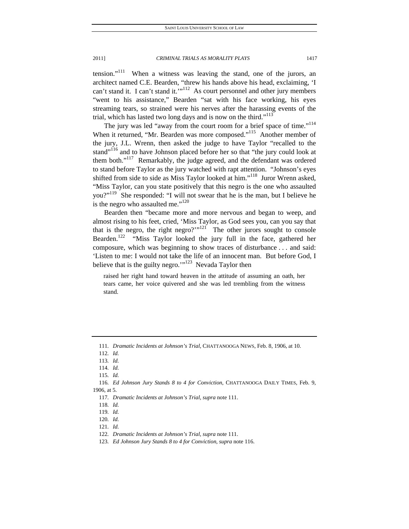tension."111 When a witness was leaving the stand, one of the jurors, an architect named C.E. Bearden, "threw his hands above his head, exclaiming, 'I can't stand it. I can't stand it.'"<sup>112</sup> As court personnel and other jury members "went to his assistance," Bearden "sat with his face working, his eyes streaming tears, so strained were his nerves after the harassing events of the trial, which has lasted two long days and is now on the third."<sup>113</sup>

The jury was led "away from the court room for a brief space of time."<sup>114</sup> When it returned, "Mr. Bearden was more composed."<sup>115</sup> Another member of the jury, J.L. Wrenn, then asked the judge to have Taylor "recalled to the stand"<sup>116</sup> and to have Johnson placed before her so that "the jury could look at them both."<sup>117</sup> Remarkably, the judge agreed, and the defendant was ordered to stand before Taylor as the jury watched with rapt attention. "Johnson's eyes shifted from side to side as Miss Taylor looked at him."<sup>118</sup> Juror Wrenn asked, "Miss Taylor, can you state positively that this negro is the one who assaulted you?"<sup>119</sup> She responded: "I will not swear that he is the man, but I believe he is the negro who assaulted me."<sup>120</sup>

Bearden then "became more and more nervous and began to weep, and almost rising to his feet, cried, 'Miss Taylor, as God sees you, can you say that that is the negro, the right negro?'" $121$  The other jurors sought to console Bearden.<sup>122</sup> "Miss Taylor looked the jury full in the face, gathered her composure, which was beginning to show traces of disturbance . . . and said: 'Listen to me: I would not take the life of an innocent man. But before God, I believe that is the guilty negro." $123$  Nevada Taylor then

raised her right hand toward heaven in the attitude of assuming an oath, her tears came, her voice quivered and she was led trembling from the witness stand.

<sup>111</sup>*. Dramatic Incidents at Johnson's Trial*, CHATTANOOGA NEWS, Feb. 8, 1906, at 10.

<sup>112</sup>*. Id.*

<sup>113</sup>*. Id.*

<sup>114</sup>*. Id.*

<sup>115</sup>*. Id.*

<sup>116</sup>*. Ed Johnson Jury Stands 8 to 4 for Conviction*, CHATTANOOGA DAILY TIMES, Feb. 9, 1906, at 5.

<sup>117</sup>*. Dramatic Incidents at Johnson's Trial*, *supra* note 111.

<sup>118</sup>*. Id.*

<sup>119</sup>*. Id.*

<sup>120</sup>*. Id.*

<sup>121</sup>*. Id.*

<sup>122</sup>*. Dramatic Incidents at Johnson's Trial*, *supra* note 111.

<sup>123</sup>*. Ed Johnson Jury Stands 8 to 4 for Conviction*, *supra* note 116.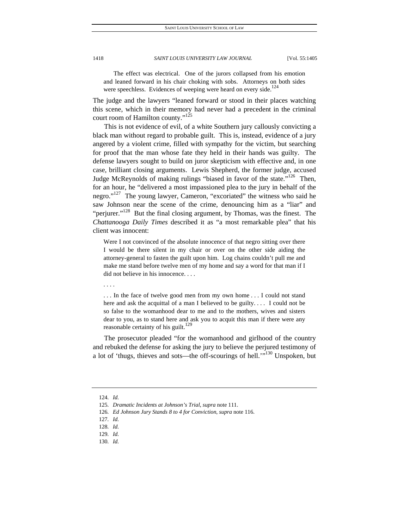The effect was electrical. One of the jurors collapsed from his emotion and leaned forward in his chair choking with sobs. Attorneys on both sides were speechless. Evidences of weeping were heard on every side.<sup>124</sup>

The judge and the lawyers "leaned forward or stood in their places watching this scene, which in their memory had never had a precedent in the criminal court room of Hamilton county."125

This is not evidence of evil, of a white Southern jury callously convicting a black man without regard to probable guilt. This is, instead, evidence of a jury angered by a violent crime, filled with sympathy for the victim, but searching for proof that the man whose fate they held in their hands was guilty. The defense lawyers sought to build on juror skepticism with effective and, in one case, brilliant closing arguments. Lewis Shepherd, the former judge, accused Judge McReynolds of making rulings "biased in favor of the state."<sup>126</sup> Then, for an hour, he "delivered a most impassioned plea to the jury in behalf of the negro."<sup>127</sup> The young lawyer, Cameron, "excoriated" the witness who said he saw Johnson near the scene of the crime, denouncing him as a "liar" and "perjurer."<sup>128</sup> But the final closing argument, by Thomas, was the finest. The *Chattanooga Daily Times* described it as "a most remarkable plea" that his client was innocent:

Were I not convinced of the absolute innocence of that negro sitting over there I would be there silent in my chair or over on the other side aiding the attorney-general to fasten the guilt upon him. Log chains couldn't pull me and make me stand before twelve men of my home and say a word for that man if I did not believe in his innocence. . . .

. . . In the face of twelve good men from my own home . . . I could not stand here and ask the acquittal of a man I believed to be guilty.... I could not be so false to the womanhood dear to me and to the mothers, wives and sisters dear to you, as to stand here and ask you to acquit this man if there were any reasonable certainty of his guilt. $129$ 

The prosecutor pleaded "for the womanhood and girlhood of the country and rebuked the defense for asking the jury to believe the perjured testimony of a lot of 'thugs, thieves and sots—the off-scourings of hell.'"130 Unspoken, but

. . . .

<sup>124</sup>*. Id.*

<sup>125</sup>*. Dramatic Incidents at Johnson's Trial*, *supra* note 111.

<sup>126</sup>*. Ed Johnson Jury Stands 8 to 4 for Conviction*, *supra* note 116.

<sup>127</sup>*. Id.*

<sup>128</sup>*. Id.*

<sup>129</sup>*. Id.*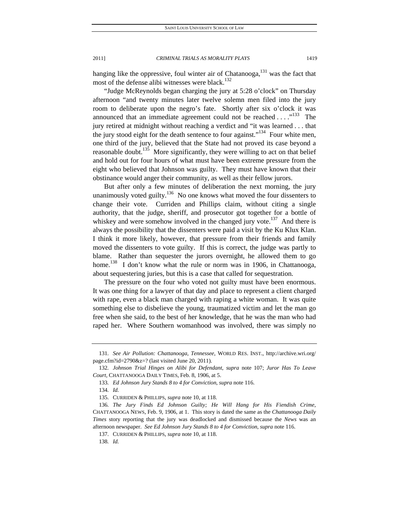hanging like the oppressive, foul winter air of Chatanooga,  $131$  was the fact that most of the defense alibi witnesses were black.<sup>132</sup>

"Judge McReynolds began charging the jury at 5:28 o'clock" on Thursday afternoon "and twenty minutes later twelve solemn men filed into the jury room to deliberate upon the negro's fate. Shortly after six o'clock it was announced that an immediate agreement could not be reached  $\dots$ ."<sup>133</sup> The jury retired at midnight without reaching a verdict and "it was learned . . . that the jury stood eight for the death sentence to four against."<sup>134</sup> Four white men, one third of the jury, believed that the State had not proved its case beyond a reasonable doubt.<sup>135</sup> More significantly, they were willing to act on that belief and hold out for four hours of what must have been extreme pressure from the eight who believed that Johnson was guilty. They must have known that their obstinance would anger their community, as well as their fellow jurors.

But after only a few minutes of deliberation the next morning, the jury unanimously voted guilty.<sup>136</sup> No one knows what moved the four dissenters to change their vote. Curriden and Phillips claim, without citing a single authority, that the judge, sheriff, and prosecutor got together for a bottle of whiskey and were somehow involved in the changed jury vote.<sup>137</sup> And there is always the possibility that the dissenters were paid a visit by the Ku Klux Klan. I think it more likely, however, that pressure from their friends and family moved the dissenters to vote guilty. If this is correct, the judge was partly to blame. Rather than sequester the jurors overnight, he allowed them to go home.<sup>138</sup> I don't know what the rule or norm was in 1906, in Chattanooga, about sequestering juries, but this is a case that called for sequestration.

The pressure on the four who voted not guilty must have been enormous. It was one thing for a lawyer of that day and place to represent a client charged with rape, even a black man charged with raping a white woman. It was quite something else to disbelieve the young, traumatized victim and let the man go free when she said, to the best of her knowledge, that he was the man who had raped her. Where Southern womanhood was involved, there was simply no

<sup>131</sup>*. See Air Pollution: Chattanooga, Tennessee*, WORLD RES. INST., http://archive.wri.org/ page.cfm?id=2790&z=? (last visited June 20, 2011).

<sup>132</sup>*. Johnson Trial Hinges on Alibi for Defendant*, *supra* note 107; *Juror Has To Leave Court*, CHATTANOOGA DAILY TIMES, Feb. 8, 1906, at 5.

<sup>133</sup>*. Ed Johnson Jury Stands 8 to 4 for Conviction*, *supra* note 116.

 <sup>135.</sup> CURRIDEN & PHILLIPS, *supra* note 10, at 118.

<sup>136</sup>*. The Jury Finds Ed Johnson Guilty; He Will Hang for His Fiendish Crime*, CHATTANOOGA NEWS, Feb. 9, 1906, at 1. This story is dated the same as the *Chattanooga Daily Times* story reporting that the jury was deadlocked and dismissed because the *News* was an afternoon newspaper. *See Ed Johnson Jury Stands 8 to 4 for Conviction*, *supra* note 116.

 <sup>137.</sup> CURRIDEN & PHILLIPS, *supra* note 10, at 118.

<sup>138</sup>*. Id.*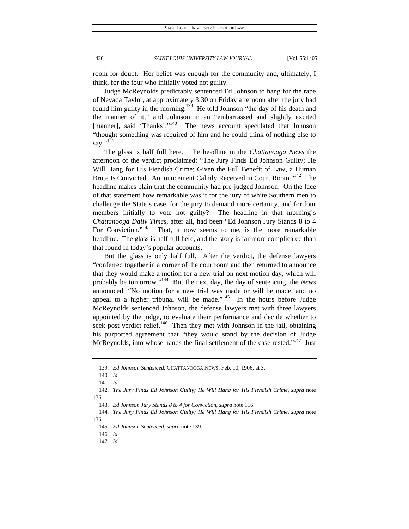room for doubt. Her belief was enough for the community and, ultimately, I think, for the four who initially voted not guilty.

Judge McReynolds predictably sentenced Ed Johnson to hang for the rape of Nevada Taylor, at approximately 3:30 on Friday afternoon after the jury had found him guilty in the morning.<sup>139</sup> He told Johnson "the day of his death and the manner of it," and Johnson in an "embarrassed and slightly excited [manner], said 'Thanks'."<sup>140</sup> The news account speculated that Johnson "thought something was required of him and he could think of nothing else to say."<sup>141</sup>

The glass is half full here. The headline in the *Chattanooga News* the afternoon of the verdict proclaimed: "The Jury Finds Ed Johnson Guilty; He Will Hang for His Fiendish Crime; Given the Full Benefit of Law, a Human Brute Is Convicted. Announcement Calmly Received in Court Room."<sup>142</sup> The headline makes plain that the community had pre-judged Johnson. On the face of that statement how remarkable was it for the jury of white Southern men to challenge the State's case, for the jury to demand more certainty, and for four members initially to vote not guilty? The headline in that morning's *Chattanooga Daily Times*, after all, had been "Ed Johnson Jury Stands 8 to 4 For Conviction." $143$  That, it now seems to me, is the more remarkable headline. The glass is half full here, and the story is far more complicated than that found in today's popular accounts.

But the glass is only half full. After the verdict, the defense lawyers "conferred together in a corner of the courtroom and then returned to announce that they would make a motion for a new trial on next motion day, which will probably be tomorrow."144 But the next day, the day of sentencing, the *News* announced: "No motion for a new trial was made or will be made, and no appeal to a higher tribunal will be made."<sup>145</sup> In the hours before Judge McReynolds sentenced Johnson, the defense lawyers met with three lawyers appointed by the judge, to evaluate their performance and decide whether to seek post-verdict relief.<sup>146</sup> Then they met with Johnson in the jail, obtaining his purported agreement that "they would stand by the decision of Judge McReynolds, into whose hands the final settlement of the case rested."<sup>147</sup> Just

146*. Id.*

<sup>139</sup>*. Ed Johnson Sentenced*, CHATTANOOGA NEWS, Feb. 10, 1906, at 3.

<sup>140</sup>*. Id.*

<sup>141</sup>*. Id.*

<sup>142</sup>*. The Jury Finds Ed Johnson Guilty; He Will Hang for His Fiendish Crime*, *supra* note 136.

<sup>143</sup>*. Ed Johnson Jury Stands 8 to 4 for Conviction*, *supra* note 116.

<sup>144</sup>*. The Jury Finds Ed Johnson Guilty; He Will Hang for His Fiendish Crime*, *supra* note 136.

<sup>145</sup>*. Ed Johnson Sentenced*, *supra* note 139.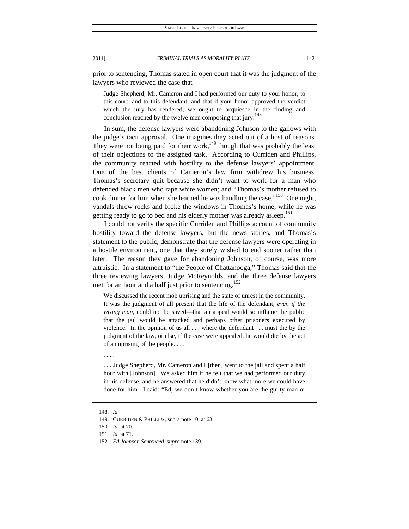prior to sentencing, Thomas stated in open court that it was the judgment of the lawyers who reviewed the case that

Judge Shepherd, Mr. Cameron and I had performed our duty to your honor, to this court, and to this defendant, and that if your honor approved the verdict which the jury has rendered, we ought to acquiesce in the finding and conclusion reached by the twelve men composing that jury.<sup>148</sup>

In sum, the defense lawyers were abandoning Johnson to the gallows with the judge's tacit approval. One imagines they acted out of a host of reasons. They were not being paid for their work, $149$  though that was probably the least of their objections to the assigned task. According to Curriden and Phillips, the community reacted with hostility to the defense lawyers' appointment. One of the best clients of Cameron's law firm withdrew his business; Thomas's secretary quit because she didn't want to work for a man who defended black men who rape white women; and "Thomas's mother refused to cook dinner for him when she learned he was handling the case."<sup>150</sup> One night, vandals threw rocks and broke the windows in Thomas's home, while he was getting ready to go to bed and his elderly mother was already asleep.<sup>151</sup>

I could not verify the specific Curriden and Phillips account of community hostility toward the defense lawyers, but the news stories, and Thomas's statement to the public, demonstrate that the defense lawyers were operating in a hostile environment, one that they surely wished to end sooner rather than later. The reason they gave for abandoning Johnson, of course, was more altruistic. In a statement to "the People of Chattanooga," Thomas said that the three reviewing lawyers, Judge McReynolds, and the three defense lawyers met for an hour and a half just prior to sentencing.<sup>152</sup>

We discussed the recent mob uprising and the state of unrest in the community. It was the judgment of all present that the life of the defendant, *even if the wrong man*, could not be saved—that an appeal would so inflame the public that the jail would be attacked and perhaps other prisoners executed by violence. In the opinion of us all . . . where the defendant . . . must die by the judgment of the law, or else, if the case were appealed, he would die by the act of an uprising of the people. . . .

. . . .

. . . Judge Shepherd, Mr. Cameron and I [then] went to the jail and spent a half hour with [Johnson]. We asked him if he felt that we had performed our duty in his defense, and he answered that he didn't know what more we could have done for him. I said: "Ed, we don't know whether you are the guilty man or

152*. Ed Johnson Sentenced*, *supra* note 139.

<sup>148</sup>*. Id.*

 <sup>149.</sup> CURRIDEN & PHILLIPS, supra note 10, at 63.

<sup>150</sup>*. Id.* at 70.

<sup>151</sup>*. Id.* at 71.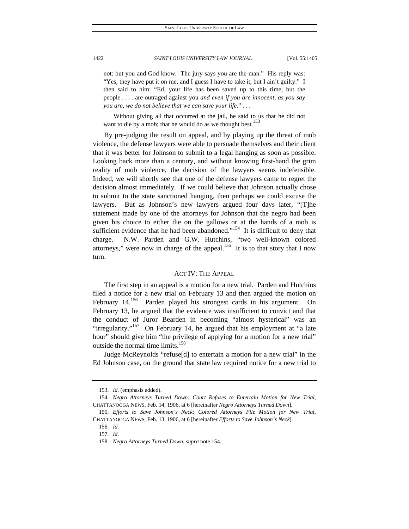not: but you and God know. The jury says you are the man." His reply was: "Yes, they have put it on me, and I guess I have to take it, but I ain't guilty." I then said to him: "Ed, your life has been saved up to this time, but the people . . . . are outraged against you *and even if you are innocent, as you say you are, we do not believe that we can save your life.*" . . .

 Without giving all that occurred at the jail, he said to us that he did not want to die by a mob; that he would do as we thought best.<sup>153</sup>

By pre-judging the result on appeal, and by playing up the threat of mob violence, the defense lawyers were able to persuade themselves and their client that it was better for Johnson to submit to a legal hanging as soon as possible. Looking back more than a century, and without knowing first-hand the grim reality of mob violence, the decision of the lawyers seems indefensible. Indeed, we will shortly see that one of the defense lawyers came to regret the decision almost immediately. If we could believe that Johnson actually chose to submit to the state sanctioned hanging, then perhaps we could excuse the lawyers. But as Johnson's new lawyers argued four days later, "[T]he statement made by one of the attorneys for Johnson that the negro had been given his choice to either die on the gallows or at the hands of a mob is sufficient evidence that he had been abandoned."<sup>154</sup> It is difficult to deny that charge. N.W. Parden and G.W. Hutchins, "two well-known colored attorneys," were now in charge of the appeal.<sup>155</sup> It is to that story that I now turn.

## ACT IV: THE APPEAL

The first step in an appeal is a motion for a new trial. Parden and Hutchins filed a notice for a new trial on February 13 and then argued the motion on February 14.<sup>156</sup> Parden played his strongest cards in his argument. On February 13, he argued that the evidence was insufficient to convict and that the conduct of Juror Bearden in becoming "almost hysterical" was an "irregularity."<sup>157</sup> On February 14, he argued that his employment at "a late hour" should give him "the privilege of applying for a motion for a new trial" outside the normal time limits.<sup>158</sup>

Judge McReynolds "refuse[d] to entertain a motion for a new trial" in the Ed Johnson case, on the ground that state law required notice for a new trial to

<sup>153</sup>*. Id.* (emphasis added).

<sup>154</sup>*. Negro Attorneys Turned Down: Court Refuses to Entertain Motion for New Trial*, CHATTANOOGA NEWS, Feb. 14, 1906, at 6 [hereinafter *Negro Attorneys Turned Down*].

<sup>155</sup>*. Efforts to Save Johnson's Neck: Colored Attorneys File Motion for New Trial*, CHATTANOOGA NEWS, Feb. 13, 1906, at 6 [hereinafter *Efforts to Save Johnson's Neck*].

<sup>156</sup>*. Id.*

<sup>157</sup>*. Id.*

<sup>158</sup>*. Negro Attorneys Turned Down*, *supra* note 154.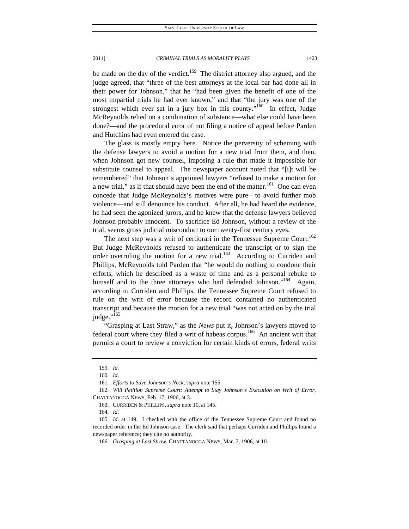be made on the day of the verdict.<sup>159</sup> The district attorney also argued, and the judge agreed, that "three of the best attorneys at the local bar had done all in their power for Johnson," that he "had been given the benefit of one of the most impartial trials he had ever known," and that "the jury was one of the strongest which ever sat in a jury box in this county."<sup>160</sup> In effect, Judge McReynolds relied on a combination of substance—what else could have been done?—and the procedural error of not filing a notice of appeal before Parden and Hutchins had even entered the case.

The glass is mostly empty here. Notice the perversity of scheming with the defense lawyers to avoid a motion for a new trial from them, and then, when Johnson got new counsel, imposing a rule that made it impossible for substitute counsel to appeal. The newspaper account noted that "[i]t will be remembered" that Johnson's appointed lawyers "refused to make a motion for a new trial," as if that should have been the end of the matter.<sup>161</sup> One can even concede that Judge McReynolds's motives were pure—to avoid further mob violence—and still denounce his conduct. After all, he had heard the evidence, he had seen the agonized jurors, and he knew that the defense lawyers believed Johnson probably innocent. To sacrifice Ed Johnson, without a review of the trial, seems gross judicial misconduct to our twenty-first century eyes.

The next step was a writ of certiorari in the Tennessee Supreme Court.<sup>162</sup> But Judge McReynolds refused to authenticate the transcript or to sign the order overruling the motion for a new trial.<sup>163</sup> According to Curriden and Phillips, McReynolds told Parden that "he would do nothing to condone their efforts, which he described as a waste of time and as a personal rebuke to himself and to the three attorneys who had defended Johnson."<sup>164</sup> Again, according to Curriden and Phillips, the Tennessee Supreme Court refused to rule on the writ of error because the record contained no authenticated transcript and because the motion for a new trial "was not acted on by the trial judge." $165$ 

"Grasping at Last Straw," as the *News* put it, Johnson's lawyers moved to federal court where they filed a writ of habeas corpus.<sup>166</sup> An ancient writ that permits a court to review a conviction for certain kinds of errors, federal writs

<sup>159</sup>*. Id.*

<sup>160</sup>*. Id.*

<sup>161</sup>*. Efforts to Save Johnson's Neck*, *supra* note 155.

<sup>162</sup>*. Will Petition Supreme Court: Attempt to Stay Johnson's Execution on Writ of Error*, CHATTANOOGA NEWS, Feb. 17, 1906, at 3.

 <sup>163.</sup> CURRIDEN & PHILLIPS, *supra* note 10, at 145.

<sup>164</sup>*. Id.*

<sup>165</sup>*. Id.* at 149. I checked with the office of the Tennessee Supreme Court and found no recorded order in the Ed Johnson case. The clerk said that perhaps Curriden and Phillips found a newspaper reference; they cite no authority.

<sup>166</sup>*. Grasping at Last Straw*, CHATTANOOGA NEWS, Mar. 7, 1906, at 10.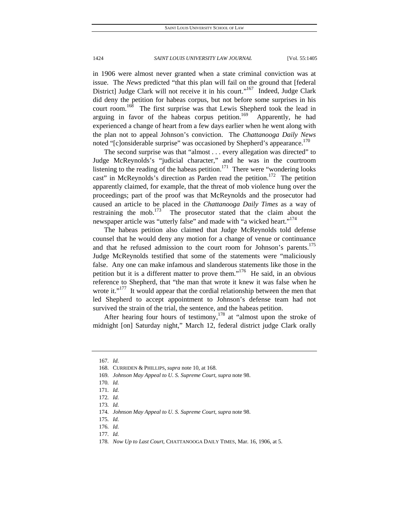in 1906 were almost never granted when a state criminal conviction was at issue. The *News* predicted "that this plan will fail on the ground that [federal District] Judge Clark will not receive it in his court."<sup>167</sup> Indeed, Judge Clark did deny the petition for habeas corpus, but not before some surprises in his court room.<sup>168</sup> The first surprise was that Lewis Shepherd took the lead in arguing in favor of the habeas corpus petition.<sup>169</sup> Apparently, he had experienced a change of heart from a few days earlier when he went along with the plan not to appeal Johnson's conviction. The *Chattanooga Daily News* noted "[c]onsiderable surprise" was occasioned by Shepherd's appearance.<sup>170</sup>

The second surprise was that "almost . . . every allegation was directed" to Judge McReynolds's "judicial character," and he was in the courtroom listening to the reading of the habeas petition.<sup>171</sup> There were "wondering looks cast" in McReynolds's direction as Parden read the petition.<sup>172</sup> The petition apparently claimed, for example, that the threat of mob violence hung over the proceedings; part of the proof was that McReynolds and the prosecutor had caused an article to be placed in the *Chattanooga Daily Times* as a way of restraining the mob. $^{173}$  The prosecutor stated that the claim about the newspaper article was "utterly false" and made with "a wicked heart."<sup>174</sup>

The habeas petition also claimed that Judge McReynolds told defense counsel that he would deny any motion for a change of venue or continuance and that he refused admission to the court room for Johnson's parents.<sup>175</sup> Judge McReynolds testified that some of the statements were "maliciously false. Any one can make infamous and slanderous statements like those in the petition but it is a different matter to prove them."<sup>176</sup> He said, in an obvious reference to Shepherd, that "the man that wrote it knew it was false when he wrote it."<sup>177</sup> It would appear that the cordial relationship between the men that led Shepherd to accept appointment to Johnson's defense team had not survived the strain of the trial, the sentence, and the habeas petition.

After hearing four hours of testimony,<sup>178</sup> at "almost upon the stroke of midnight [on] Saturday night," March 12, federal district judge Clark orally

<sup>167</sup>*. Id.*

 <sup>168.</sup> CURRIDEN & PHILLIPS, *supra* note 10, at 168.

<sup>169</sup>*. Johnson May Appeal to U. S. Supreme Court*, *supra* note 98.

<sup>170</sup>*. Id.*

<sup>171</sup>*. Id.*

<sup>172</sup>*. Id.*

<sup>173</sup>*. Id.*

<sup>174</sup>*. Johnson May Appeal to U. S. Supreme Court*, *supra* note 98.

<sup>175</sup>*. Id.*

<sup>176</sup>*. Id.*

<sup>177</sup>*. Id.*

<sup>178</sup>*. Now Up to Last Court*, CHATTANOOGA DAILY TIMES, Mar. 16, 1906, at 5.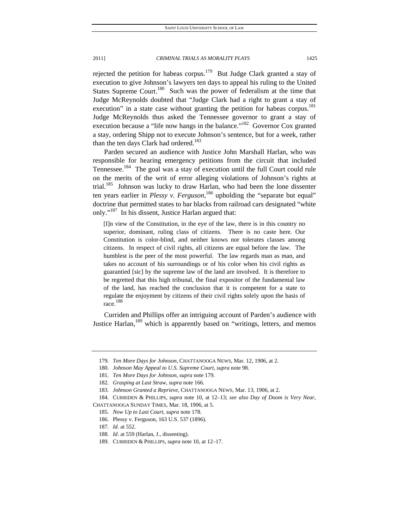rejected the petition for habeas corpus.179 But Judge Clark granted a stay of execution to give Johnson's lawyers ten days to appeal his ruling to the United States Supreme Court.<sup>180</sup> Such was the power of federalism at the time that Judge McReynolds doubted that "Judge Clark had a right to grant a stay of execution" in a state case without granting the petition for habeas corpus.<sup>181</sup> Judge McReynolds thus asked the Tennessee governor to grant a stay of execution because a "life now hangs in the balance."<sup>182</sup> Governor Cox granted a stay, ordering Shipp not to execute Johnson's sentence, but for a week, rather than the ten days Clark had ordered.<sup>183</sup>

Parden secured an audience with Justice John Marshall Harlan, who was responsible for hearing emergency petitions from the circuit that included Tennessee.<sup>184</sup> The goal was a stay of execution until the full Court could rule on the merits of the writ of error alleging violations of Johnson's rights at trial.<sup>185</sup> Johnson was lucky to draw Harlan, who had been the lone dissenter ten years earlier in *Plessy v. Ferguson*, 186 upholding the "separate but equal" doctrine that permitted states to bar blacks from railroad cars designated "white only."<sup>187</sup> In his dissent, Justice Harlan argued that:

[I]n view of the Constitution, in the eye of the law, there is in this country no superior, dominant, ruling class of citizens. There is no caste here. Our Constitution is color-blind, and neither knows nor tolerates classes among citizens. In respect of civil rights, all citizens are equal before the law. The humblest is the peer of the most powerful. The law regards man as man, and takes no account of his surroundings or of his color when his civil rights as guarantied [sic] by the supreme law of the land are involved. It is therefore to be regretted that this high tribunal, the final expositor of the fundamental law of the land, has reached the conclusion that it is competent for a state to regulate the enjoyment by citizens of their civil rights solely upon the basis of race.<sup>188</sup>

Curriden and Phillips offer an intriguing account of Parden's audience with Justice Harlan,<sup>189</sup> which is apparently based on "writings, letters, and memos

<sup>179</sup>*. Ten More Days for Johnson*, CHATTANOOGA NEWS, Mar. 12, 1906, at 2.

<sup>180</sup>*. Johnson May Appeal to U.S. Supreme Court*, *supra* note 98.

<sup>181</sup>*. Ten More Days for Johnson*, *supra* note 179.

<sup>182</sup>*. Grasping at Last Straw*, *supra* note 166.

<sup>183</sup>*. Johnson Granted a Reprieve*, CHATTANOOGA NEWS, Mar. 13, 1906, at 2.

 <sup>184.</sup> CURRIDEN & PHILLIPS, *supra* note 10, at 12–13; *see also Day of Doom is Very Near*, CHATTANOOGA SUNDAY TIMES, Mar. 18, 1906, at 5.

<sup>185</sup>*. Now Up to Last Court*, *supra* note 178.

 <sup>186.</sup> Plessy v. Ferguson, 163 U.S. 537 (1896).

<sup>187</sup>*. Id.* at 552.

<sup>188</sup>*. Id*. at 559 (Harlan, J., dissenting).

 <sup>189.</sup> CURRIDEN & PHILLIPS, *supra* note 10, at 12–17.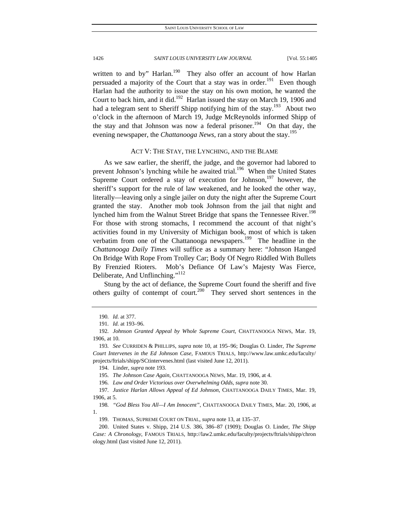written to and by" Harlan.<sup>190</sup> They also offer an account of how Harlan persuaded a majority of the Court that a stay was in order.<sup>191</sup> Even though Harlan had the authority to issue the stay on his own motion, he wanted the Court to back him, and it did.<sup>192</sup> Harlan issued the stay on March 19, 1906 and had a telegram sent to Sheriff Shipp notifying him of the stay.<sup>193</sup> About two o'clock in the afternoon of March 19, Judge McReynolds informed Shipp of the stay and that Johnson was now a federal prisoner.<sup>194</sup> On that day, the evening newspaper, the *Chattanooga News*, ran a story about the stay.<sup>195</sup>

### ACT V: THE STAY, THE LYNCHING, AND THE BLAME

As we saw earlier, the sheriff, the judge, and the governor had labored to prevent Johnson's lynching while he awaited trial.<sup>196</sup> When the United States Supreme Court ordered a stay of execution for Johnson, $197$  however, the sheriff's support for the rule of law weakened, and he looked the other way, literally—leaving only a single jailer on duty the night after the Supreme Court granted the stay. Another mob took Johnson from the jail that night and lynched him from the Walnut Street Bridge that spans the Tennessee River.<sup>198</sup> For those with strong stomachs, I recommend the account of that night's activities found in my University of Michigan book, most of which is taken verbatim from one of the Chattanooga newspapers.<sup>199</sup> The headline in the *Chattanooga Daily Times* will suffice as a summary here: "Johnson Hanged On Bridge With Rope From Trolley Car; Body Of Negro Riddled With Bullets By Frenzied Rioters. Mob's Defiance Of Law's Majesty Was Fierce, Deliberate, And Unflinching."<sup>112</sup>

Stung by the act of defiance, the Supreme Court found the sheriff and five others guilty of contempt of court.<sup>200</sup> They served short sentences in the

<sup>190</sup>*. Id.* at 377.

<sup>191</sup>*. Id.* at 193–96.

<sup>192</sup>*. Johnson Granted Appeal by Whole Supreme Court*, CHATTANOOGA NEWS, Mar. 19, 1906, at 10.

<sup>193</sup>*. See* CURRIDEN & PHILLIPS, *supra* note 10, at 195–96; Douglas O. Linder, *The Supreme Court Intervenes in the Ed Johnson Case*, FAMOUS TRIALS, http://www.law.umkc.edu/faculty/ projects/ftrials/shipp/SCtintervenes.html (last visited June 12, 2011).

 <sup>194.</sup> Linder, *supra* note 193.

<sup>195</sup>*. The Johnson Case Again*, CHATTANOOGA NEWS, Mar. 19, 1906, at 4.

<sup>196</sup>*. Law and Order Victorious over Overwhelming Odds*, *supra* note 30.

<sup>197</sup>*. Justice Harlan Allows Appeal of Ed Johnson*, CHATTANOOGA DAILY TIMES, Mar. 19, 1906, at 5.

<sup>198</sup>*. "God Bless You All—I Am Innocent"*, CHATTANOOGA DAILY TIMES, Mar. 20, 1906, at 1.

 <sup>199.</sup> THOMAS, SUPREME COURT ON TRIAL, *supra* note 13, at 135–37.

 <sup>200.</sup> United States v. Shipp, 214 U.S. 386, 386–87 (1909); Douglas O. Linder, *The Shipp Case: A Chronology*, FAMOUS TRIALS, http://law2.umkc.edu/faculty/projects/ftrials/shipp/chron ology.html (last visited June 12, 2011).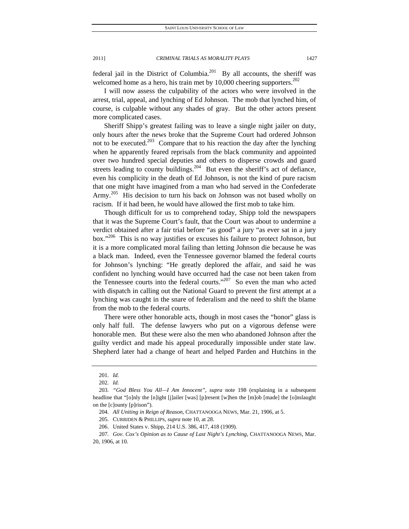federal jail in the District of Columbia.<sup>201</sup> By all accounts, the sheriff was welcomed home as a hero, his train met by  $10,000$  cheering supporters.<sup>202</sup>

I will now assess the culpability of the actors who were involved in the arrest, trial, appeal, and lynching of Ed Johnson. The mob that lynched him, of course, is culpable without any shades of gray. But the other actors present more complicated cases.

Sheriff Shipp's greatest failing was to leave a single night jailer on duty, only hours after the news broke that the Supreme Court had ordered Johnson not to be executed.<sup>203</sup> Compare that to his reaction the day after the lynching when he apparently feared reprisals from the black community and appointed over two hundred special deputies and others to disperse crowds and guard streets leading to county buildings.<sup>204</sup> But even the sheriff's act of defiance, even his complicity in the death of Ed Johnson, is not the kind of pure racism that one might have imagined from a man who had served in the Confederate Army.<sup>205</sup> His decision to turn his back on Johnson was not based wholly on racism. If it had been, he would have allowed the first mob to take him.

Though difficult for us to comprehend today, Shipp told the newspapers that it was the Supreme Court's fault, that the Court was about to undermine a verdict obtained after a fair trial before "as good" a jury "as ever sat in a jury box."<sup>206</sup> This is no way justifies or excuses his failure to protect Johnson, but it is a more complicated moral failing than letting Johnson die because he was a black man. Indeed, even the Tennessee governor blamed the federal courts for Johnson's lynching: "He greatly deplored the affair, and said he was confident no lynching would have occurred had the case not been taken from the Tennessee courts into the federal courts."<sup>207</sup> So even the man who acted with dispatch in calling out the National Guard to prevent the first attempt at a lynching was caught in the snare of federalism and the need to shift the blame from the mob to the federal courts.

There were other honorable acts, though in most cases the "honor" glass is only half full. The defense lawyers who put on a vigorous defense were honorable men. But these were also the men who abandoned Johnson after the guilty verdict and made his appeal procedurally impossible under state law. Shepherd later had a change of heart and helped Parden and Hutchins in the

<sup>201</sup>*. Id.*

<sup>202</sup>*. Id.*

<sup>203</sup>*. "God Bless You All—I Am Innocent"*, *supra* note 198 (explaining in a subsequent headline that "[o]nly the [n]ight [j]ailer [was] [p]resent [w]hen the [m]ob [made] the [o]nslaught on the [c]ounty [p]rison").

<sup>204</sup>*. All Uniting in Reign of Reason*, CHATTANOOGA NEWS, Mar. 21, 1906, at 5.

 <sup>205.</sup> CURRIDEN & PHILLIPS, *supra* note 10, at 28.

 <sup>206.</sup> United States v. Shipp, 214 U.S. 386, 417, 418 (1909).

<sup>207</sup>*. Gov. Cox's Opinion as to Cause of Last Night's Lynching*, CHATTANOOGA NEWS, Mar. 20, 1906, at 10.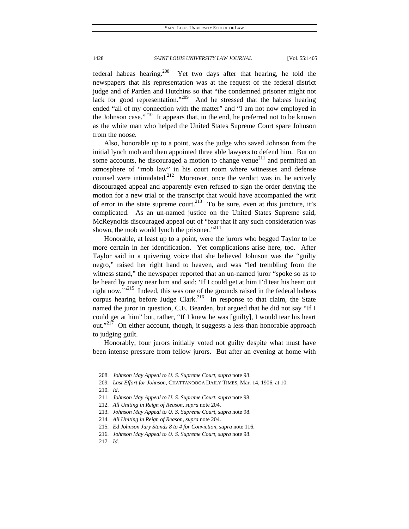federal habeas hearing.<sup>208</sup> Yet two days after that hearing, he told the newspapers that his representation was at the request of the federal district judge and of Parden and Hutchins so that "the condemned prisoner might not lack for good representation."<sup>209</sup> And he stressed that the habeas hearing ended "all of my connection with the matter" and "I am not now employed in the Johnson case."<sup>210</sup> It appears that, in the end, he preferred not to be known as the white man who helped the United States Supreme Court spare Johnson from the noose.

Also, honorable up to a point, was the judge who saved Johnson from the initial lynch mob and then appointed three able lawyers to defend him. But on some accounts, he discouraged a motion to change venue<sup>211</sup> and permitted an atmosphere of "mob law" in his court room where witnesses and defense counsel were intimidated.<sup>212</sup> Moreover, once the verdict was in, he actively discouraged appeal and apparently even refused to sign the order denying the motion for a new trial or the transcript that would have accompanied the writ of error in the state supreme court.<sup>213</sup> To be sure, even at this juncture, it's complicated. As an un-named justice on the United States Supreme said, McReynolds discouraged appeal out of "fear that if any such consideration was shown, the mob would lynch the prisoner."<sup>214</sup>

Honorable, at least up to a point, were the jurors who begged Taylor to be more certain in her identification. Yet complications arise here, too. After Taylor said in a quivering voice that she believed Johnson was the "guilty negro," raised her right hand to heaven, and was "led trembling from the witness stand," the newspaper reported that an un-named juror "spoke so as to be heard by many near him and said: 'If I could get at him I'd tear his heart out right now."<sup>215</sup> Indeed, this was one of the grounds raised in the federal habeas corpus hearing before Judge Clark.<sup>216</sup> In response to that claim, the State named the juror in question, C.E. Bearden, but argued that he did not say "If I could get at him" but, rather, "If I knew he was [guilty], I would tear his heart out."<sup>217</sup> On either account, though, it suggests a less than honorable approach to judging guilt.

Honorably, four jurors initially voted not guilty despite what must have been intense pressure from fellow jurors. But after an evening at home with

<sup>208</sup>*. Johnson May Appeal to U. S. Supreme Court*, *supra* note 98.

<sup>209</sup>*. Last Effort for Johnson*, CHATTANOOGA DAILY TIMES, Mar. 14, 1906, at 10.

<sup>210</sup>*. Id*.

<sup>211</sup>*. Johnson May Appeal to U. S. Supreme Court*, *supra* note 98.

<sup>212</sup>*. All Uniting in Reign of Reason*, *supra* note 204.

<sup>213</sup>*. Johnson May Appeal to U. S. Supreme Court*, *supra* note 98.

<sup>214</sup>*. All Uniting in Reign of Reason*, *supra* note 204.

<sup>215</sup>*. Ed Johnson Jury Stands 8 to 4 for Conviction*, *supra* note 116.

<sup>216</sup>*. Johnson May Appeal to U. S. Supreme Court*, *supra* note 98.

<sup>217</sup>*. Id.*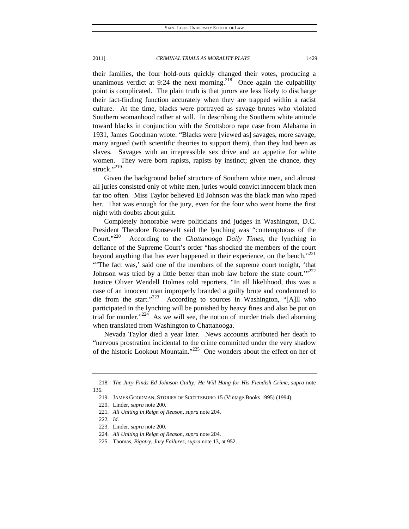their families, the four hold-outs quickly changed their votes, producing a unanimous verdict at 9:24 the next morning.<sup>218</sup> Once again the culpability point is complicated. The plain truth is that jurors are less likely to discharge their fact-finding function accurately when they are trapped within a racist culture. At the time, blacks were portrayed as savage brutes who violated Southern womanhood rather at will. In describing the Southern white attitude toward blacks in conjunction with the Scottsboro rape case from Alabama in 1931, James Goodman wrote: "Blacks were [viewed as] savages, more savage, many argued (with scientific theories to support them), than they had been as slaves. Savages with an irrepressible sex drive and an appetite for white women. They were born rapists, rapists by instinct; given the chance, they struck."219

Given the background belief structure of Southern white men, and almost all juries consisted only of white men, juries would convict innocent black men far too often. Miss Taylor believed Ed Johnson was the black man who raped her. That was enough for the jury, even for the four who went home the first night with doubts about guilt.

Completely honorable were politicians and judges in Washington, D.C. President Theodore Roosevelt said the lynching was "contemptuous of the Court."220 According to the *Chattanooga Daily Times*, the lynching in defiance of the Supreme Court's order "has shocked the members of the court beyond anything that has ever happened in their experience, on the bench. $"^{221}$ "'The fact was,' said one of the members of the supreme court tonight, 'that Johnson was tried by a little better than mob law before the state court." $222$ Justice Oliver Wendell Holmes told reporters, "In all likelihood, this was a case of an innocent man improperly branded a guilty brute and condemned to die from the start." $223$  According to sources in Washington, "[A]ll who participated in the lynching will be punished by heavy fines and also be put on trial for murder."<sup>224</sup> As we will see, the notion of murder trials died aborning when translated from Washington to Chattanooga.

Nevada Taylor died a year later. News accounts attributed her death to "nervous prostration incidental to the crime committed under the very shadow of the historic Lookout Mountain."<sup>225</sup> One wonders about the effect on her of

<sup>218</sup>*. The Jury Finds Ed Johnson Guilty; He Will Hang for His Fiendish Crime*, *supra* note 136.

 <sup>219.</sup> JAMES GOODMAN, STORIES OF SCOTTSBORO 15 (Vintage Books 1995) (1994).

 <sup>220.</sup> Linder, *supra* note 200.

<sup>221</sup>*. All Uniting in Reign of Reason*, *supra* note 204.

<sup>222</sup>*. Id.*

 <sup>223.</sup> Linder, *supra* note 200.

<sup>224</sup>*. All Uniting in Reign of Reason*, *supra* note 204.

 <sup>225.</sup> Thomas, *Bigotry, Jury Failures*, *supra* note 13, at 952.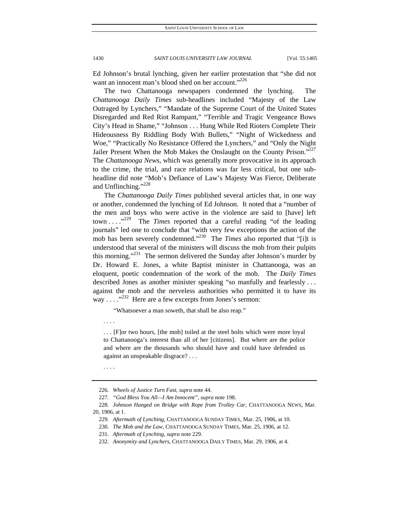Ed Johnson's brutal lynching, given her earlier protestation that "she did not want an innocent man's blood shed on her account."<sup>226</sup>

The two Chattanooga newspapers condemned the lynching. The *Chattanooga Daily Times* sub-headlines included "Majesty of the Law Outraged by Lynchers," "Mandate of the Supreme Court of the United States Disregarded and Red Riot Rampant," "Terrible and Tragic Vengeance Bows City's Head in Shame," "Johnson . . . Hung While Red Rioters Complete Their Hideousness By Riddling Body With Bullets," "Night of Wickedness and Woe," "Practically No Resistance Offered the Lynchers," and "Only the Night Jailer Present When the Mob Makes the Onslaught on the County Prison."<sup>227</sup> The *Chattanooga News*, which was generally more provocative in its approach to the crime, the trial, and race relations was far less critical, but one subheadline did note "Mob's Defiance of Law's Majesty Was Fierce, Deliberate and Unflinching."<sup>228</sup>

The *Chattanooga Daily Times* published several articles that, in one way or another, condemned the lynching of Ed Johnson. It noted that a "number of the men and boys who were active in the violence are said to [have] left town . . . .<sup>229</sup> The *Times* reported that a careful reading "of the leading journals" led one to conclude that "with very few exceptions the action of the mob has been severely condemned."230 The *Times* also reported that "[i]t is understood that several of the ministers will discuss the mob from their pulpits this morning." $231$  The sermon delivered the Sunday after Johnson's murder by Dr. Howard E. Jones, a white Baptist minister in Chattanooga, was an eloquent, poetic condemnation of the work of the mob. The *Daily Times* described Jones as another minister speaking "so manfully and fearlessly . . . against the mob and the nerveless authorities who permitted it to have its way . . .  $\cdot$ <sup>232</sup> Here are a few excerpts from Jones's sermon:

"Whatsoever a man soweth, that shall he also reap."

. . . [F]or two hours, [the mob] toiled at the steel bolts which were more loyal to Chattanooga's interest than all of her [citizens]. But where are the police and where are the thousands who should have and could have defended us against an unspeakable disgrace? . . .

. . . .

. . . .

<sup>226</sup>*. Wheels of Justice Turn Fast*, *supra* note 44.

<sup>227</sup>*. "God Bless You All—I Am Innocent"*, *supra* note 198.

<sup>228</sup>*. Johnson Hanged on Bridge with Rope from Trolley Car*, CHATTANOOGA NEWS, Mar. 20, 1906, at 1.

<sup>229</sup>*. Aftermath of Lynching*, CHATTANOOGA SUNDAY TIMES, Mar. 25, 1906, at 10.

<sup>230</sup>*. The Mob and the Law*, CHATTANOOGA SUNDAY TIMES, Mar. 25, 1906, at 12.

<sup>231</sup>*. Aftermath of Lynching*, *supra* note 229.

<sup>232</sup>*. Anonymity and Lynchers*, CHATTANOOGA DAILY TIMES, Mar. 29, 1906, at 4.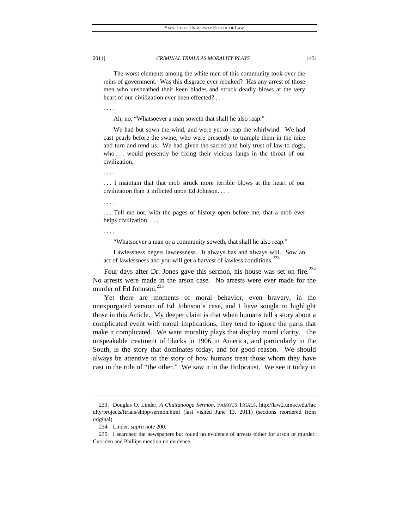. . . .

2011] *CRIMINAL TRIALS AS MORALITY PLAYS* 1431

 The worst elements among the white men of this community took over the reins of government. Was this disgrace ever rebuked? Has any arrest of those men who unsheathed their keen blades and struck deadly blows at the very heart of our civilization ever been effected?...

Ah, no. "Whatsoever a man soweth that shall he also reap."

 We had but sown the wind, and were yet to reap the whirlwind. We had cast pearls before the swine, who were presently to trample them in the mire and turn and rend us. We had given the sacred and holy trust of law to dogs, who ... would presently be fixing their vicious fangs in the throat of our civilization.

. . . I maintain that that mob struck more terrible blows at the heart of our civilization than it inflicted upon Ed Johnson. . . .

. . . .

. . . .

... Tell me not, with the pages of history open before me, that a mob ever helps civilization. . . .

. . . .

"Whatsoever a man or a community soweth, that shall he also reap."

 Lawlessness begets lawlessness. It always has and always will. Sow an act of lawlessness and you will get a harvest of lawless conditions.<sup>233</sup>

Four days after Dr. Jones gave this sermon, his house was set on fire.<sup>234</sup> No arrests were made in the arson case. No arrests were ever made for the murder of Ed Johnson.<sup>235</sup>

Yet there are moments of moral behavior, even bravery, in the unexpurgated version of Ed Johnson's case, and I have sought to highlight those in this Article. My deeper claim is that when humans tell a story about a complicated event with moral implications, they tend to ignore the parts that make it complicated. We want morality plays that display moral clarity. The unspeakable treatment of blacks in 1906 in America, and particularly in the South, is the story that dominates today, and for good reason. We should always be attentive to the story of how humans treat those whom they have cast in the role of "the other." We saw it in the Holocaust. We see it today in

 <sup>233.</sup> Douglas O. Linder, *A Chattanooga Sermon*, FAMOUS TRIALS, http://law2.umkc.edu/fac ulty/projects/ftrials/shipp/sermon.html (last visited June 13, 2011) (sections reordered from original).

 <sup>234.</sup> Linder, *supra* note 200.

 <sup>235.</sup> I searched the newspapers but found no evidence of arrests either for arson or murder. Curriden and Phillips mention no evidence.